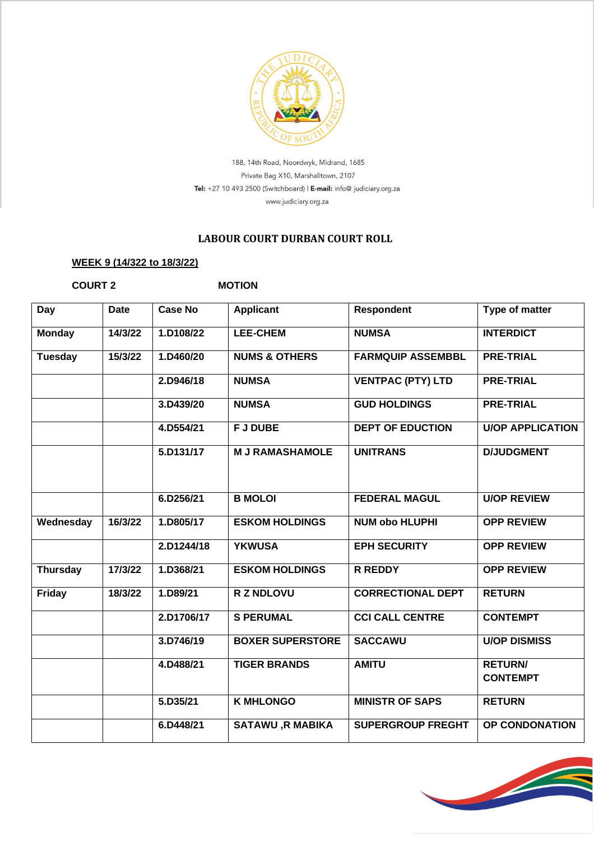

188, 14th Road, Noordwyk, Midrand, 1685 Private Bag X10, Marshalltown, 2107 Tel: +27 10 493 2500 (Switchboard) | E-mail: info@ judiciary.org.za www.judiciary.org.za

## **LABOUR COURT DURBAN COURT ROLL**

## **WEEK 9 (14/322 to 18/3/22)**

**COURT 2 MOTION** 

| Day             | <b>Date</b> | <b>Case No</b> | <b>Applicant</b>         | <b>Respondent</b>        | Type of matter                    |
|-----------------|-------------|----------------|--------------------------|--------------------------|-----------------------------------|
| <b>Monday</b>   | 14/3/22     | 1.D108/22      | <b>LEE-CHEM</b>          | <b>NUMSA</b>             | <b>INTERDICT</b>                  |
| <b>Tuesday</b>  | 15/3/22     | 1.D460/20      | <b>NUMS &amp; OTHERS</b> | <b>FARMQUIP ASSEMBBL</b> | <b>PRE-TRIAL</b>                  |
|                 |             | 2.D946/18      | <b>NUMSA</b>             | <b>VENTPAC (PTY) LTD</b> | <b>PRE-TRIAL</b>                  |
|                 |             | 3.D439/20      | <b>NUMSA</b>             | <b>GUD HOLDINGS</b>      | <b>PRE-TRIAL</b>                  |
|                 |             | 4.D554/21      | <b>FJ DUBE</b>           | <b>DEPT OF EDUCTION</b>  | <b>U/OP APPLICATION</b>           |
|                 |             | 5.D131/17      | <b>M J RAMASHAMOLE</b>   | <b>UNITRANS</b>          | <b>D/JUDGMENT</b>                 |
|                 |             | 6.D256/21      | <b>B MOLOI</b>           | <b>FEDERAL MAGUL</b>     | <b>U/OP REVIEW</b>                |
| Wednesday       | 16/3/22     | 1.D805/17      | <b>ESKOM HOLDINGS</b>    | <b>NUM obo HLUPHI</b>    | <b>OPP REVIEW</b>                 |
|                 |             | 2.D1244/18     | <b>YKWUSA</b>            | <b>EPH SECURITY</b>      | <b>OPP REVIEW</b>                 |
| <b>Thursday</b> | 17/3/22     | 1.D368/21      | <b>ESKOM HOLDINGS</b>    | <b>R REDDY</b>           | <b>OPP REVIEW</b>                 |
| Friday          | 18/3/22     | 1.D89/21       | <b>R Z NDLOVU</b>        | <b>CORRECTIONAL DEPT</b> | <b>RETURN</b>                     |
|                 |             | 2.D1706/17     | <b>S PERUMAL</b>         | <b>CCI CALL CENTRE</b>   | <b>CONTEMPT</b>                   |
|                 |             | 3.D746/19      | <b>BOXER SUPERSTORE</b>  | <b>SACCAWU</b>           | <b>U/OP DISMISS</b>               |
|                 |             | 4.D488/21      | <b>TIGER BRANDS</b>      | <b>AMITU</b>             | <b>RETURN/</b><br><b>CONTEMPT</b> |
|                 |             | 5.D35/21       | <b>K MHLONGO</b>         | <b>MINISTR OF SAPS</b>   | <b>RETURN</b>                     |
|                 |             | 6.D448/21      | <b>SATAWU, R MABIKA</b>  | <b>SUPERGROUP FREGHT</b> | OP CONDONATION                    |